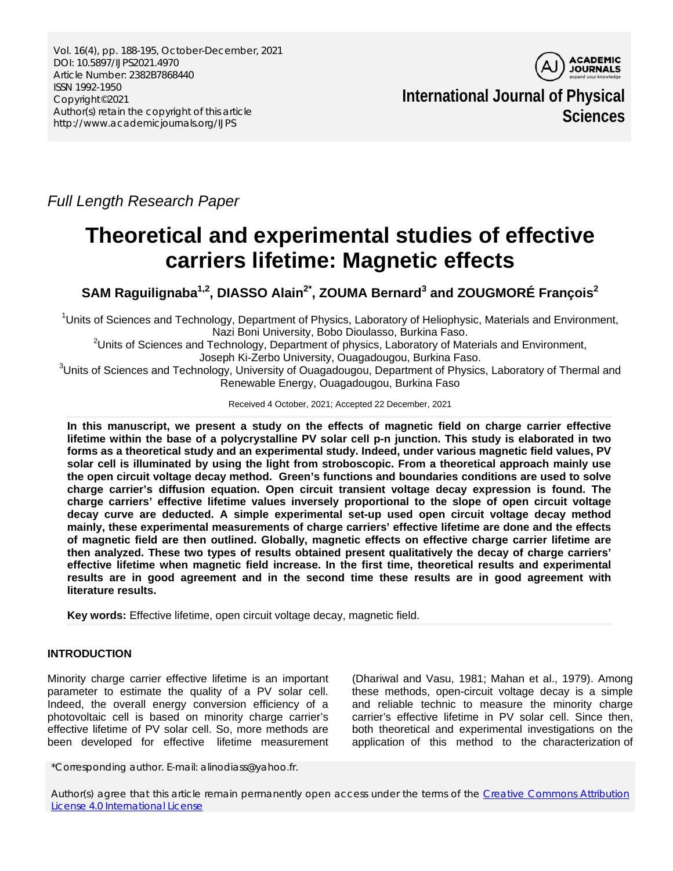

**International Journal of Physical Sciences**

*Full Length Research Paper*

# **Theoretical and experimental studies of effective carriers lifetime: Magnetic effects**

**SAM Raguilignaba1,2, DIASSO Alain2\* , ZOUMA Bernard3 and ZOUGMORÉ François2**

<sup>1</sup>Units of Sciences and Technology, Department of Physics, Laboratory of Heliophysic, Materials and Environment, Nazi Boni University, Bobo Dioulasso, Burkina Faso.

<sup>2</sup>Units of Sciences and Technology, Department of physics, Laboratory of Materials and Environment,

Joseph Ki-Zerbo University, Ouagadougou, Burkina Faso.<br>Units of Sciences and Technology, University of Ouagadougou, Department of Physics, Laboratory of Thermal and<sup>3</sup> Renewable Energy, Ouagadougou, Burkina Faso

Received 4 October, 2021; Accepted 22 December, 2021

**In this manuscript, we present a study on the effects of magnetic field on charge carrier effective lifetime within the base of a polycrystalline PV solar cell p-n junction. This study is elaborated in two forms as a theoretical study and an experimental study. Indeed, under various magnetic field values, PV solar cell is illuminated by using the light from stroboscopic. From a theoretical approach mainly use the open circuit voltage decay method. Green's functions and boundaries conditions are used to solve charge carrier's diffusion equation. Open circuit transient voltage decay expression is found. The charge carriers' effective lifetime values inversely proportional to the slope of open circuit voltage decay curve are deducted. A simple experimental set-up used open circuit voltage decay method mainly, these experimental measurements of charge carriers' effective lifetime are done and the effects of magnetic field are then outlined. Globally, magnetic effects on effective charge carrier lifetime are then analyzed. These two types of results obtained present qualitatively the decay of charge carriers' effective lifetime when magnetic field increase. In the first time, theoretical results and experimental results are in good agreement and in the second time these results are in good agreement with literature results.**

**Key words:** Effective lifetime, open circuit voltage decay, magnetic field.

# **INTRODUCTION**

Minority charge carrier effective lifetime is an important parameter to estimate the quality of a PV solar cell. Indeed, the overall energy conversion efficiency of a photovoltaic cell is based on minority charge carrier's effective lifetime of PV solar cell. So, more methods are been developed for effective lifetime measurement (Dhariwal and Vasu, 1981; Mahan et al., 1979). Among these methods, open-circuit voltage decay is a simple and reliable technic to measure the minority charge carrier's effective lifetime in PV solar cell. Since then, both theoretical and experimental investigations on the application of this method to the characterization of

\*Corresponding author. E-mail: alinodiass@yahoo.fr.

Author(s) agree that this article remain permanently open access under the terms of the [Creative Commons Attribution](http://creativecommons.org/licenses/by/4.0/deed.en_US)  [License 4.0 International License](http://creativecommons.org/licenses/by/4.0/deed.en_US)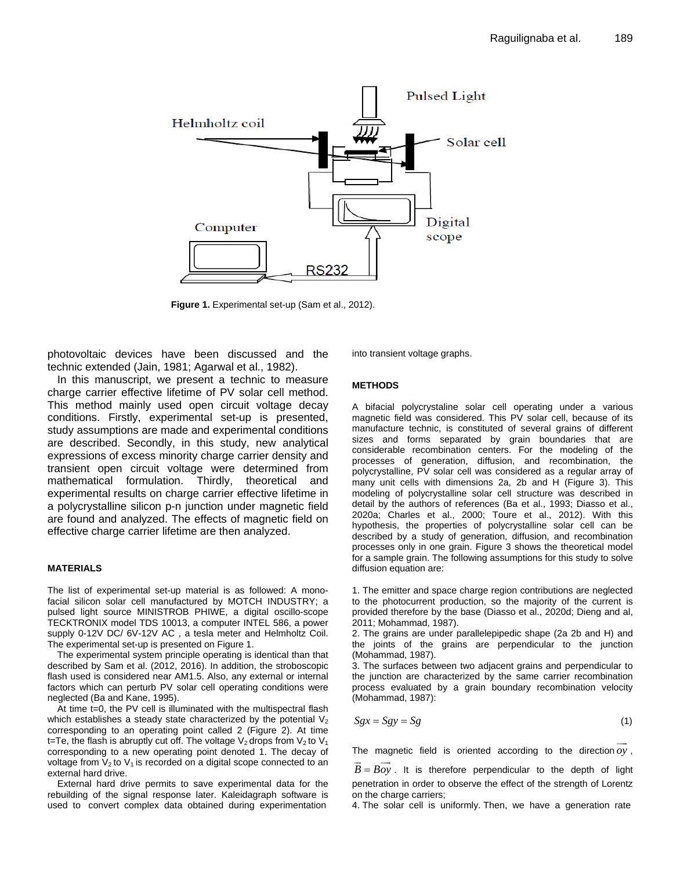

**Figure 1.** Experimental set-up (Sam et al., 2012).

photovoltaic devices have been discussed and the technic extended (Jain, 1981; Agarwal et al., 1982).

In this manuscript, we present a technic to measure charge carrier effective lifetime of PV solar cell method. This method mainly used open circuit voltage decay conditions. Firstly, experimental set-up is presented, study assumptions are made and experimental conditions are described. Secondly, in this study, new analytical expressions of excess minority charge carrier density and transient open circuit voltage were determined from mathematical formulation. Thirdly, theoretical and experimental results on charge carrier effective lifetime in a polycrystalline silicon p-n junction under magnetic field are found and analyzed. The effects of magnetic field on effective charge carrier lifetime are then analyzed.

### **MATERIALS**

The list of experimental set-up material is as followed: A monofacial silicon solar cell manufactured by MOTCH INDUSTRY; a pulsed light source MINISTROB PHIWE, a digital oscillo-scope TECKTRONIX model TDS 10013, a computer INTEL 586, a power supply 0-12V DC/ 6V-12V AC , a tesla meter and Helmholtz Coil. The experimental set-up is presented on Figure 1.

The experimental system principle operating is identical than that described by Sam et al. (2012, 2016). In addition, the stroboscopic flash used is considered near AM1.5. Also, any external or internal factors which can perturb PV solar cell operating conditions were neglected (Ba and Kane, 1995).

At time t=0, the PV cell is illuminated with the multispectral flash which establishes a steady state characterized by the potential  $V_2$ corresponding to an operating point called 2 (Figure 2). At time t=Te, the flash is abruptly cut off. The voltage  $V_2$  drops from  $V_2$  to  $V_1$ corresponding to a new operating point denoted 1. The decay of voltage from  $V_2$  to  $V_1$  is recorded on a digital scope connected to an external hard drive.

External hard drive permits to save experimental data for the rebuilding of the signal response later. Kaleidagraph software is used to convert complex data obtained during experimentation

into transient voltage graphs.

#### **METHODS**

A bifacial polycrystaline solar cell operating under a various magnetic field was considered. This PV solar cell, because of its manufacture technic, is constituted of several grains of different sizes and forms separated by grain boundaries that are considerable recombination centers. For the modeling of the processes of generation, diffusion, and recombination, the polycrystalline, PV solar cell was considered as a regular array of many unit cells with dimensions 2a, 2b and H (Figure 3). This modeling of polycrystalline solar cell structure was described in detail by the authors of references (Ba et al., 1993; Diasso et al., 2020a; Charles et al., 2000; Toure et al., 2012). With this hypothesis, the properties of polycrystalline solar cell can be described by a study of generation, diffusion, and recombination processes only in one grain. Figure 3 shows the theoretical model for a sample grain. The following assumptions for this study to solve diffusion equation are:

1. The emitter and space charge region contributions are neglected to the photocurrent production, so the majority of the current is provided therefore by the base (Diasso et al., 2020d; Dieng and al, 2011; Mohammad, 1987).

2. The grains are under parallelepipedic shape (2a 2b and H) and the joints of the grains are perpendicular to the junction (Mohammad, 1987).

3. The surfaces between two adjacent grains and perpendicular to the junction are characterized by the same carrier recombination process evaluated by a grain boundary recombination velocity (Mohammad, 1987):

$$
Sgx = Sgy = Sg \tag{1}
$$

The magnetic field is oriented according to the direction *oy*  $\overline{\phantom{a}}$ ,

 $B = Boy$ . It is therefore perpendicular to the depth of light penetration in order to observe the effect of the strength of Lorentz on the charge carriers;

4. The solar cell is uniformly. Then, we have a generation rate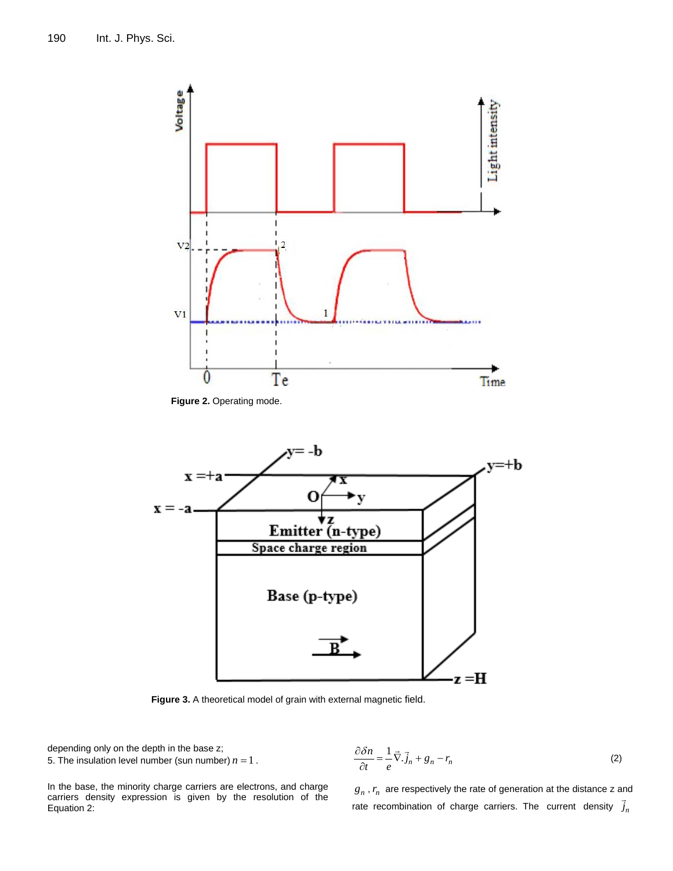

**Figure 2. Operating mode.** 



**Figure 3.** A theoretical model of grain with external magnetic field.

depending only on the depth in the base z; 5. The insulation level number (sun number)  $n = 1$ .

In the base, the minority charge carriers are electrons, and charge carriers density expression is given by the resolution of the Equation 2:

$$
\frac{\partial \delta n}{\partial t} = \frac{1}{e} \vec{\nabla} \cdot \vec{j}_n + g_n - r_n \tag{2}
$$

 $g_n$ ,  $r_n$  are respectively the rate of generation at the distance z and rate recombination of charge carriers. The current density  $\vec{j}_n$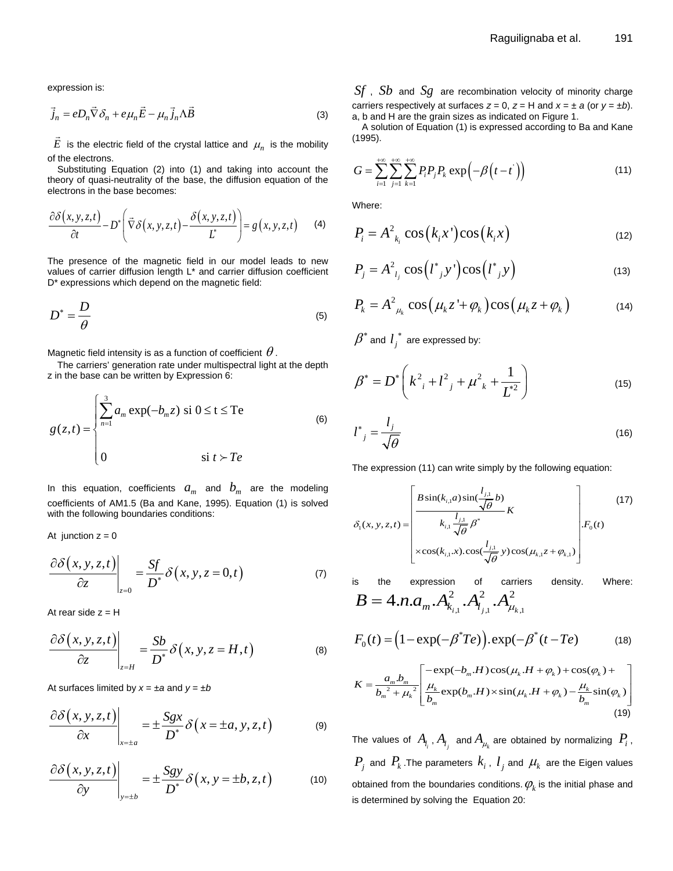expression is:

$$
\vec{j}_n = eD_n \vec{\nabla} \delta_n + e\mu_n \vec{E} - \mu_n \vec{j}_n \Delta \vec{B}
$$
 (3)

*E*  $\overline{\phantom{a}}$ is the electric field of the crystal lattice and  $\mu_n$  is the mobility of the electrons.

Substituting Equation (2) into (1) and taking into account the theory of quasi-neutrality of the base, the diffusion equation of the electrons in the base becomes:

$$
\frac{\partial \delta(x, y, z, t)}{\partial t} - D^* \left( \vec{\nabla} \delta(x, y, z, t) - \frac{\delta(x, y, z, t)}{L^*} \right) = g(x, y, z, t)
$$
 (4)

The presence of the magnetic field in our model leads to new values of carrier diffusion length L\* and carrier diffusion coefficient D\* expressions which depend on the magnetic field:

$$
D^* = \frac{D}{\theta} \tag{5}
$$

Magnetic field intensity is as a function of coefficient  $\theta$ .

The carriers' generation rate under multispectral light at the depth z in the base can be written by Expression 6:

$$
g(z,t) = \begin{cases} \sum_{n=1}^{3} a_m \exp(-b_m z) & \text{si } 0 \le t \le \text{Te} \\ 0 & \text{si } t \succ T e \end{cases}
$$
(6)

In this equation, coefficients  $a_m$  and  $b_m$  are the modeling coefficients of AM1.5 (Ba and Kane, 1995). Equation (1) is solved with the following boundaries conditions:

At junction  $z = 0$ 

$$
\left. \frac{\partial \delta(x, y, z, t)}{\partial z} \right|_{z=0} = \frac{Sf}{D^*} \delta(x, y, z = 0, t) \tag{7}
$$

At rear side  $z = H$ 

$$
\left. \frac{\partial \delta(x, y, z, t)}{\partial z} \right|_{z=H} = \frac{Sb}{D^*} \delta(x, y, z = H, t)
$$
 (8)

At surfaces limited by  $x = \pm a$  and  $y = \pm b$ 

$$
\frac{\partial \delta(x, y, z, t)}{\partial x}\Big|_{x=\pm a} = \pm \frac{Sgx}{D^*} \delta(x = \pm a, y, z, t)
$$
 (9)

$$
\left. \frac{\partial \delta(x, y, z, t)}{\partial y} \right|_{y = \pm b} = \pm \frac{Sgy}{D^*} \delta(x, y = \pm b, z, t)
$$
 (10)

*Sf* , *Sb* and *Sg* are recombination velocity of minority charge carriers respectively at surfaces  $z = 0$ ,  $z = H$  and  $x = \pm a$  (or  $y = \pm b$ ). a, b and H are the grain sizes as indicated on Figure 1.

A solution of Equation (1) is expressed according to Ba and Kane (1995).

$$
G = \sum_{i=1}^{+\infty} \sum_{j=1}^{+\infty} \sum_{k=1}^{+\infty} P_i P_j P_k \exp(-\beta(t-t))
$$
 (11)

Where:

$$
P_i = A_{k_i}^2 \cos(k_i x') \cos(k_i x)
$$
 (12)

$$
P_j = A_{l_j}^2 \cos\left(l^*_{j} y'\right) \cos\left(l^*_{j} y\right) \tag{13}
$$

$$
P_k = A_{\mu_k}^2 \cos(\mu_k z' + \varphi_k) \cos(\mu_k z + \varphi_k)
$$
 (14)

 $\beta^*$  and  $l_j^*$  are expressed by:

$$
\beta^* = D^* \left( k_{i}^2 + l_{j}^2 + \mu_{k}^2 + \frac{1}{L^*} \right)
$$
 (15)

$$
l^*_{\ j} = \frac{l_j}{\sqrt{\theta}}\tag{16}
$$

The expression (11) can write simply by the following equation:

$$
\delta_{1}(x, y, z, t) = \begin{bmatrix} B\sin(k_{i,1}a)\sin(\frac{l_{j,1}}{\sqrt{\theta}}b) \\ k_{i,1}\frac{l_{j,1}}{\sqrt{\theta}}\beta^{*} \\ \times \cos(k_{i,1}.x)\cdot\cos(\frac{l_{j,1}}{\sqrt{\theta}}y)\cos(\mu_{k,1}z + \varphi_{k,1}) \end{bmatrix} F_{0}(t)
$$
\n(17)

is the expression of carriers density. Where:  $B = 4.n.a_m.A_{k_{i,1}}^2.A_{l_{j,1}}^2.A_{\mu_{k,1}}^2$ 

$$
F_0(t) = (1 - \exp(-\beta^*Te)) \cdot \exp(-\beta^*(t - Te)) \tag{18}
$$

$$
K = \frac{a_m b_m}{b_m^2 + \mu_k^2} \left[ \frac{-\exp(-b_m H)\cos(\mu_k H + \varphi_k) + \cos(\varphi_k) + \mu_k}{\frac{\mu_k}{b_m} \exp(b_m H) \times \sin(\mu_k H + \varphi_k) - \frac{\mu_k}{b_m} \sin(\varphi_k)} \right]
$$
(19)

The values of  $A_{l_i}$  ,  $A_{l_j}$  and  $A_{\mu_k}$  are obtained by normalizing  $\ P_i$  ,  $P_i$  and  $P_k$ . The parameters  $k_i$ ,  $l_j$  and  $\mu_k$  are the Eigen values obtained from the boundaries conditions.  $\varphi_k$  is the initial phase and is determined by solving the Equation 20: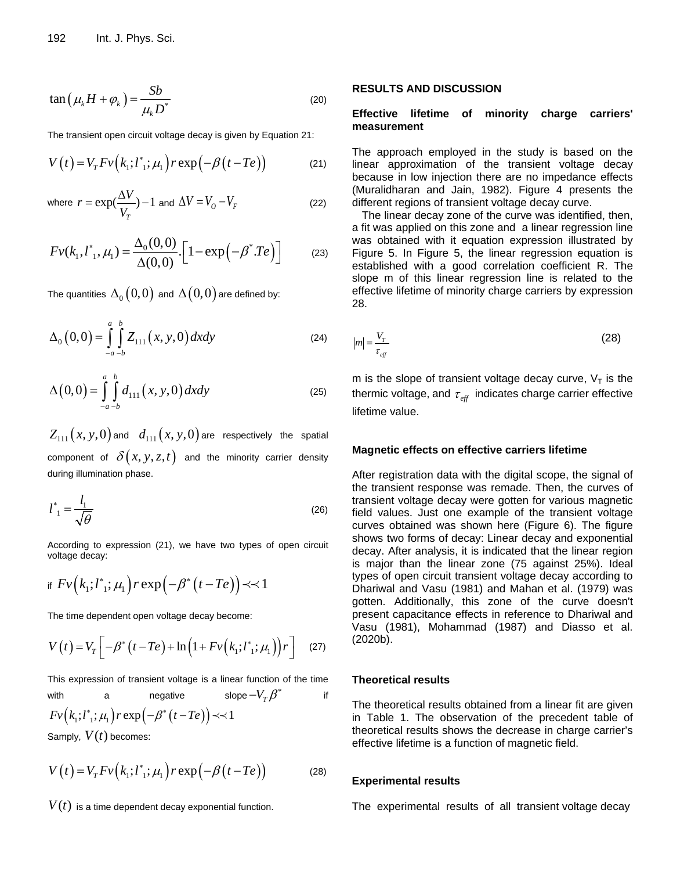$$
\tan\left(\mu_k H + \varphi_k\right) = \frac{Sb}{\mu_k D^*}
$$
\n(20)

The transient open circuit voltage decay is given by Equation 21:

$$
V(t) = VT Fv(k1; l*1; \mu1) r \exp(-\beta(t - Te))
$$
 (21)

where 
$$
r = \exp(\frac{\Delta V}{V_T}) - 1
$$
 and  $\Delta V = V_0 - V_F$  (22)

$$
Fv(k_1, l^*, \mu_1) = \frac{\Delta_0(0,0)}{\Delta(0,0)} \Big[ 1 - \exp\Big(-\beta^* \cdot Te\Big) \Big]
$$
 (23)

The quantities  $\Delta_0 (0,0)$  and  $\Delta(0,0)$  are defined by:

$$
\Delta_0(0,0) = \int_{-a-b}^{a} \int_{-a}^{b} Z_{111}(x, y, 0) dx dy
$$
 (24)

$$
\Delta(0,0) = \int_{-a-b}^{a} \int_{-b}^{b} d_{111}(x,y,0) \, dx \, dy \tag{25}
$$

 $Z_{111}(x, y, 0)$  and  $d_{111}(x, y, 0)$  are respectively the spatial component of  $\delta(x, y, z, t)$  and the minority carrier density during illumination phase.

$$
l^*_{1} = \frac{l_1}{\sqrt{\theta}}\tag{26}
$$

According to expression (21), we have two types of open circuit voltage decay:

$$
\text{if } Fv(k_1; l^*_{1}; \mu_1) r \exp\left(-\beta^*(t - Te)\right) \prec\prec 1
$$

The time dependent open voltage decay become:

$$
V(t) = V_T \left[ -\beta^* \left( t - Te \right) + \ln \left( 1 + F_V \left( k_1; l^*_{\perp}; \mu_1 \right) \right) r \right]
$$
 (27)

This expression of transient voltage is a linear function of the time with a negative slope  $-V_x\beta^*$  if

$$
\text{ with } \quad \text{ a } \quad \text{negative } \quad \text{ slope} - v_T \text{,}
$$
\n
$$
Fv(k_1; l^*_{\!1}; \mu_1) r \exp\left(-\beta^*(t - Te)\right) \prec\prec 1
$$

Samply,  $V(t)$  becomes:

$$
V(t) = VT Fv(k1; t*1; \mu1) r \exp(-\beta(t - Te))
$$
 (28)

 $V(t)$  is a time dependent decay exponential function.

## **RESULTS AND DISCUSSION**

## **Effective lifetime of minority charge carriers' measurement**

The approach employed in the study is based on the linear approximation of the transient voltage decay because in low injection there are no impedance effects (Muralidharan and Jain, 1982). Figure 4 presents the different regions of transient voltage decay curve.

The linear decay zone of the curve was identified, then, a fit was applied on this zone and a linear regression line was obtained with it equation expression illustrated by Figure 5. In Figure 5, the linear regression equation is established with a good correlation coefficient R. The slope m of this linear regression line is related to the effective lifetime of minority charge carriers by expression 28.

$$
|m| = \frac{V_T}{\tau_{\text{eff}}} \tag{28}
$$

m is the slope of transient voltage decay curve,  $V<sub>T</sub>$  is the thermic voltage, and  $\tau_{\text{eff}}$  indicates charge carrier effective lifetime value.

## **Magnetic effects on effective carriers lifetime**

After registration data with the digital scope, the signal of the transient response was remade. Then, the curves of transient voltage decay were gotten for various magnetic field values. Just one example of the transient voltage curves obtained was shown here (Figure 6). The figure shows two forms of decay: Linear decay and exponential decay. After analysis, it is indicated that the linear region is major than the linear zone (75 against 25%). Ideal types of open circuit transient voltage decay according to Dhariwal and Vasu (1981) and Mahan et al. (1979) was gotten. Additionally, this zone of the curve doesn't present capacitance effects in reference to Dhariwal and Vasu (1981), Mohammad (1987) and Diasso et al. (2020b).

## **Theoretical results**

The theoretical results obtained from a linear fit are given in Table 1. The observation of the precedent table of theoretical results shows the decrease in charge carrier's effective lifetime is a function of magnetic field.

#### **Experimental results**

The experimental results of all transient voltage decay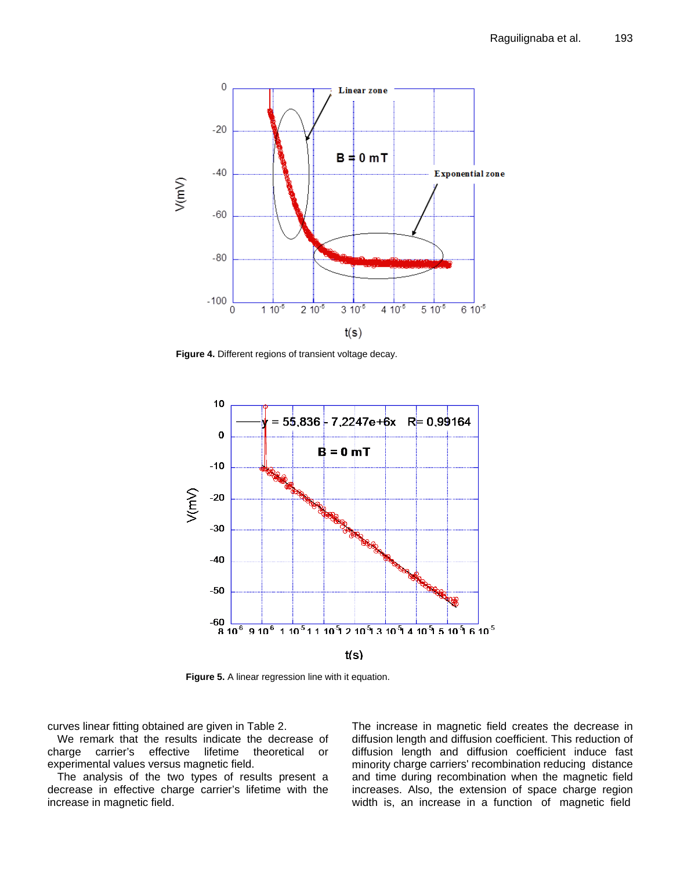

**Figure 4.** Different regions of transient voltage decay.



**Figure 5.** A linear regression line with it equation.

curves linear fitting obtained are given in Table 2.

We remark that the results indicate the decrease of charge carrier's effective lifetime theoretical or experimental values versus magnetic field.

The analysis of the two types of results present a decrease in effective charge carrier's lifetime with the increase in magnetic field.

The increase in magnetic field creates the decrease in diffusion length and diffusion coefficient. This reduction of diffusion length and diffusion coefficient induce fast minority charge carriers' recombination reducing distance and time during recombination when the magnetic field increases. Also, the extension of space charge region width is, an increase in a function of magnetic field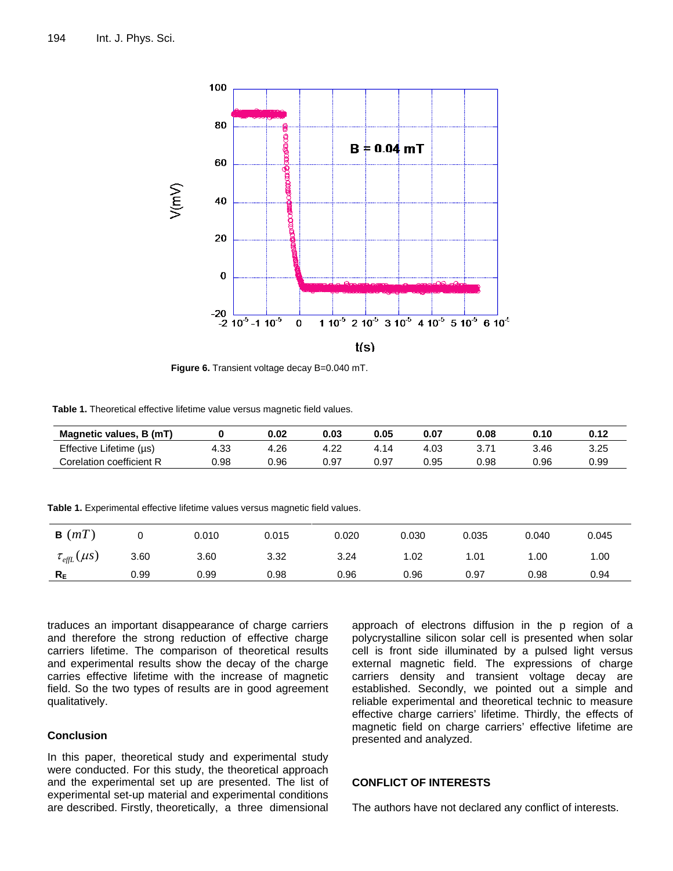

**Figure 6.** Transient voltage decay B=0.040 mT.

**Table 1.** Theoretical effective lifetime value versus magnetic field values.

| Magnetic values, B (mT)  |      | 0.02 | 0.03 | 0.05 | 0.07 | 0.8  | 0.10 | 0.12 |
|--------------------------|------|------|------|------|------|------|------|------|
| Effective Lifetime (µs)  | 4.33 | 4.26 |      |      | 4.03 |      | 3.46 | 3.25 |
| Corelation coefficient R | 98.ر | 96.ر | 97.  | 97.( | 0.95 | 0.98 | 0.96 | 0.99 |

Table 1. Experimental effective lifetime values versus magnetic field values.

| $\mathbf{B}(mT)$            |      | 0.010 | 0.015 | 0.020 | 0.030 | 0.035 | 0.040 | 0.045 |
|-----------------------------|------|-------|-------|-------|-------|-------|-------|-------|
| $\tau_{\text{effL}}(\mu s)$ | 3.60 | 3.60  | 3.32  | 3.24  | 02. ا | 01.،  | 00،،  | 00. ا |
| $R_F$                       | 0.99 | 0.99  | 0.98  | 0.96  | 0.96  | 0.97  | 0.98  | 0.94  |

traduces an important disappearance of charge carriers and therefore the strong reduction of effective charge carriers lifetime. The comparison of theoretical results and experimental results show the decay of the charge carries effective lifetime with the increase of magnetic field. So the two types of results are in good agreement qualitatively.

## **Conclusion**

In this paper, theoretical study and experimental study were conducted. For this study, the theoretical approach and the experimental set up are presented. The list of experimental set-up material and experimental conditions are described. Firstly, theoretically, a three dimensional approach of electrons diffusion in the p region of a polycrystalline silicon solar cell is presented when solar cell is front side illuminated by a pulsed light versus external magnetic field. The expressions of charge carriers density and transient voltage decay are established. Secondly, we pointed out a simple and reliable experimental and theoretical technic to measure effective charge carriers' lifetime. Thirdly, the effects of magnetic field on charge carriers' effective lifetime are presented and analyzed.

## **CONFLICT OF INTERESTS**

The authors have not declared any conflict of interests.